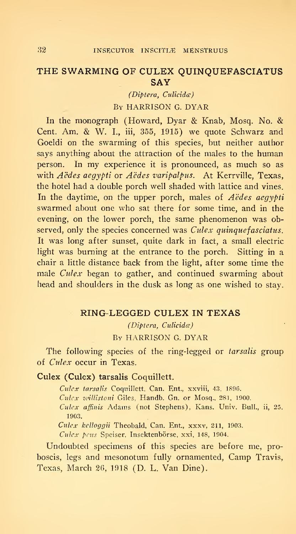## THE SWARMING OF CULEX QUINQUEFASCIATUS **SAY**

(Diptera, Culicida) By HARRISON G. DYAR

In the monograph (Howard, Dyar & Knab, Mosq. No. & Cent. Am. & W. I., iii, 355, 1915) we quote Schwarz and Goeldi on the swarming of this species, but neither author says anything about the attraction of the males to the human person. In my experience it is pronounced, as much so as with Aëdes aegypti or Aëdes varipalpus. At Kerrville, Texas, the hotel had a double porch well shaded with lattice and vines. In the daytime, on the upper porch, males of  $A\ddot{\theta}$  as a analysis swarmed about one who sat there for some time, and in the evening, on the lower porch, the same phenomenon was observed, only the species concerned was Culex quinquefasciatus. It was long after sunset, quite dark in fact, a small electric light was burning at the entrance to the porch. Sitting in a chair a little distance back from the light, after some time the male *Culex* began to gather, and continued swarming about head and shoulders in the dusk as long as one wished to stay.

#### RING-LEGGED CULEX IN TEXAS

(Diptera, Culicida)

By HARRISON G. DYAR

The following species of the ring-legged or tarsalis group of Cidex occur in Texas.

#### Culex (Culex) tarsalis Coquillett.

Culex tarsalis Coquillett, Can. Ent., xxviii, 43, 1896.

Culex willistoni Giles, Handb. Gn. or Mosq., 281, 1900.

Culex affinis Adams (not Stephens), Kans. Univ. Bull., ii, 25. 1903.

 $Culer$  kelloggii Theobald, Can. Ent., xxxv, 211, 1903.

Culex peus Speiser, Insektenbörse, xxi, 148, 1904.

Undoubted specimens of this species are before me, proboscis, legs and mesonotum fully ornamented. Camp Travis, Texas, March 2G, 1918 (D. L. Van Dine).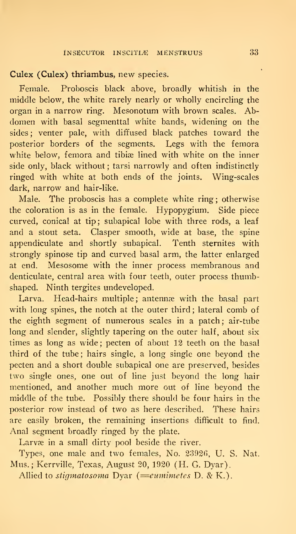#### Culex (Culex) thriambus, new species.

Female. Proboscis black above, broadly whitish in the middle below, the white rarely nearly or wholly encircling the organ in a narrow ring. Mesonotum with brown scales. Abdomen with basal segmenttal white bands, widening on the sides; venter pale, with diffused black patches toward the posterior borders of the segments. Legs with the femora white below, femora and tibiæ lined with white on the inner side only, black without; tarsi narrowly and often indistinctly ringed with white at both ends of the joints. Wing-scales dark, narrow and hair-like.

Male. The proboscis has a complete white ring; otherwise the coloration is as in the female. Hypopygium. Side piece curved, conical at tip; subapical lobe with three rods, a leaf and a stout seta. Clasper smooth, wide at base, the spine appendiculate and shortly subapical. Tenth sternites with strongly spinose tip and curved basal arm, the latter enlarged at end. Mesosome with the inner process membranous and denticulate, central area with four teeth, outer process thumbshaped. Ninth tergites undeveloped.

Larva. Head-hairs multiple; antennæ with the basal part with long spines, the notch at the outer third; lateral comb of the eighth segment of numerous scales in a patch; air-tube long and slender, slightly tapering on the outer half, about six times as long as wide ; pecten of about 12 teeth on the basal third of the tube ; hairs single, a long single one beyond the pecten and a short double subapical one are preserved, besides two single ones, one out of line just beyond the long hair mentioned, and another much more out of line beyond the middle of the tube. Possibly there should be four hairs in the posterior row instead of two as here described. These hairs are easily broken, the remaining insertions difficult to find. Anal segment broadly ringed by the plate.

Larvæ in a small dirty pool beside the river.

Types, one male and two females. No. 2392G, U. S. Nat. Mus. ; Kerrville, Texas, August 20, 1920 (H. G. Dyar).

Allied to stigmatosoma Dyar  $(=$ eumimetes D. & K.).